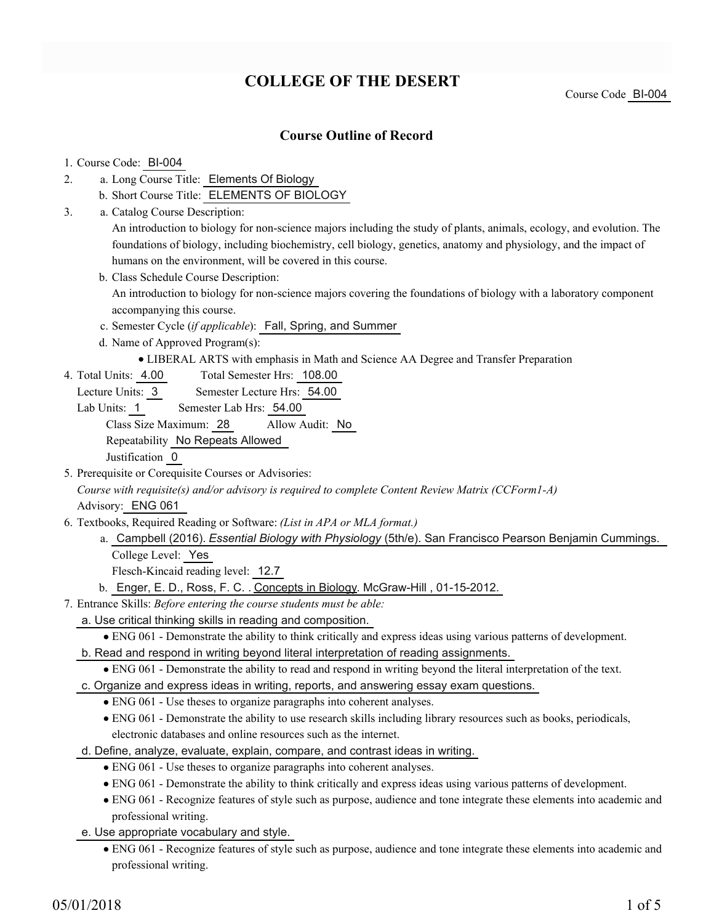# **COLLEGE OF THE DESERT**

Course Code BI-004

### **Course Outline of Record**

#### 1. Course Code: BI-004

- a. Long Course Title: Elements Of Biology 2.
	- b. Short Course Title: ELEMENTS OF BIOLOGY
- Catalog Course Description: a. 3.

An introduction to biology for non-science majors including the study of plants, animals, ecology, and evolution. The foundations of biology, including biochemistry, cell biology, genetics, anatomy and physiology, and the impact of humans on the environment, will be covered in this course.

- b. Class Schedule Course Description: An introduction to biology for non-science majors covering the foundations of biology with a laboratory component accompanying this course.
- c. Semester Cycle (*if applicable*): Fall, Spring, and Summer
- d. Name of Approved Program(s):
	- LIBERAL ARTS with emphasis in Math and Science AA Degree and Transfer Preparation
- Total Semester Hrs: 108.00 4. Total Units: 4.00
	- Lecture Units: 3 Semester Lecture Hrs: 54.00
	- Lab Units: 1 Semester Lab Hrs: 54.00

Class Size Maximum: 28 Allow Audit: No

Repeatability No Repeats Allowed

Justification 0

5. Prerequisite or Corequisite Courses or Advisories:

*Course with requisite(s) and/or advisory is required to complete Content Review Matrix (CCForm1-A)*

Advisory: ENG 061

- Textbooks, Required Reading or Software: *(List in APA or MLA format.)* 6.
	- a. Campbell (2016). *Essential Biology with Physiology* (5th/e). San Francisco Pearson Benjamin Cummings. College Level: Yes

Flesch-Kincaid reading level: 12.7

- b. Enger, E. D., Ross, F. C. . Concepts in Biology. McGraw-Hill , 01-15-2012.
- Entrance Skills: *Before entering the course students must be able:* 7.
	- a. Use critical thinking skills in reading and composition.
		- ENG 061 Demonstrate the ability to think critically and express ideas using various patterns of development.
	- b. Read and respond in writing beyond literal interpretation of reading assignments.
		- ENG 061 Demonstrate the ability to read and respond in writing beyond the literal interpretation of the text.
	- c. Organize and express ideas in writing, reports, and answering essay exam questions.
		- ENG 061 Use theses to organize paragraphs into coherent analyses.
		- ENG 061 Demonstrate the ability to use research skills including library resources such as books, periodicals, electronic databases and online resources such as the internet.
	- d. Define, analyze, evaluate, explain, compare, and contrast ideas in writing.
		- ENG 061 Use theses to organize paragraphs into coherent analyses.
		- ENG 061 Demonstrate the ability to think critically and express ideas using various patterns of development.
		- ENG 061 Recognize features of style such as purpose, audience and tone integrate these elements into academic and professional writing.
	- e. Use appropriate vocabulary and style.
		- ENG 061 Recognize features of style such as purpose, audience and tone integrate these elements into academic and professional writing.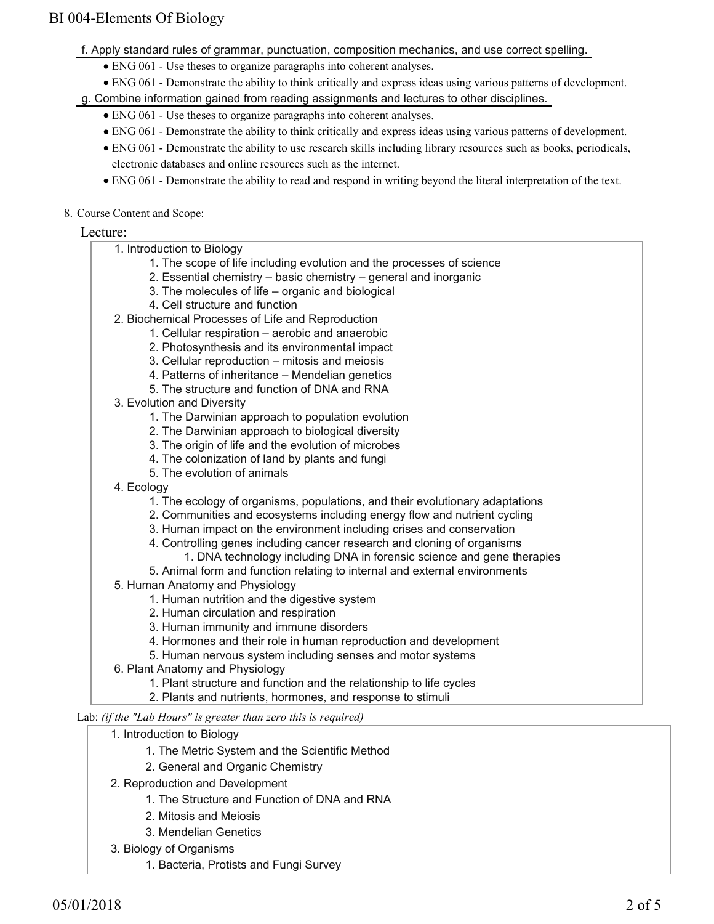- f. Apply standard rules of grammar, punctuation, composition mechanics, and use correct spelling.
	- ENG 061 Use theses to organize paragraphs into coherent analyses.
	- ENG 061 Demonstrate the ability to think critically and express ideas using various patterns of development.

g. Combine information gained from reading assignments and lectures to other disciplines.

- ENG 061 Use theses to organize paragraphs into coherent analyses.
- ENG 061 Demonstrate the ability to think critically and express ideas using various patterns of development.
- ENG 061 Demonstrate the ability to use research skills including library resources such as books, periodicals, electronic databases and online resources such as the internet.
- ENG 061 Demonstrate the ability to read and respond in writing beyond the literal interpretation of the text.
- 8. Course Content and Scope:

#### Lecture:

| 1. Introduction to Biology                                                                                    |
|---------------------------------------------------------------------------------------------------------------|
| 1. The scope of life including evolution and the processes of science                                         |
| 2. Essential chemistry – basic chemistry – general and inorganic                                              |
| 3. The molecules of life - organic and biological                                                             |
| 4. Cell structure and function                                                                                |
| 2. Biochemical Processes of Life and Reproduction                                                             |
| 1. Cellular respiration - aerobic and anaerobic                                                               |
| 2. Photosynthesis and its environmental impact                                                                |
| 3. Cellular reproduction - mitosis and meiosis                                                                |
| 4. Patterns of inheritance - Mendelian genetics                                                               |
| 5. The structure and function of DNA and RNA                                                                  |
| 3. Evolution and Diversity                                                                                    |
| 1. The Darwinian approach to population evolution                                                             |
| 2. The Darwinian approach to biological diversity                                                             |
| 3. The origin of life and the evolution of microbes                                                           |
| 4. The colonization of land by plants and fungi                                                               |
| 5. The evolution of animals                                                                                   |
| 4. Ecology                                                                                                    |
| 1. The ecology of organisms, populations, and their evolutionary adaptations                                  |
| 2. Communities and ecosystems including energy flow and nutrient cycling                                      |
| 3. Human impact on the environment including crises and conservation                                          |
| 4. Controlling genes including cancer research and cloning of organisms                                       |
| 1. DNA technology including DNA in forensic science and gene therapies                                        |
| 5. Animal form and function relating to internal and external environments<br>5. Human Anatomy and Physiology |
| 1. Human nutrition and the digestive system                                                                   |
| 2. Human circulation and respiration                                                                          |
| 3. Human immunity and immune disorders                                                                        |
| 4. Hormones and their role in human reproduction and development                                              |
| 5. Human nervous system including senses and motor systems                                                    |
| 6. Plant Anatomy and Physiology                                                                               |
| 1. Plant structure and function and the relationship to life cycles                                           |
| 2. Plants and nutrients, hormones, and response to stimuli                                                    |
|                                                                                                               |
| Lab: (if the "Lab Hours" is greater than zero this is required)                                               |
| 1. Introduction to Biology                                                                                    |
| 1. The Metric System and the Scientific Method                                                                |
| 2. General and Organic Chemistry                                                                              |
| 2. Reproduction and Development                                                                               |

- 1. The Structure and Function of DNA and RNA
- 2. Mitosis and Meiosis
- 3. Mendelian Genetics
- 3. Biology of Organisms
	- 1. Bacteria, Protists and Fungi Survey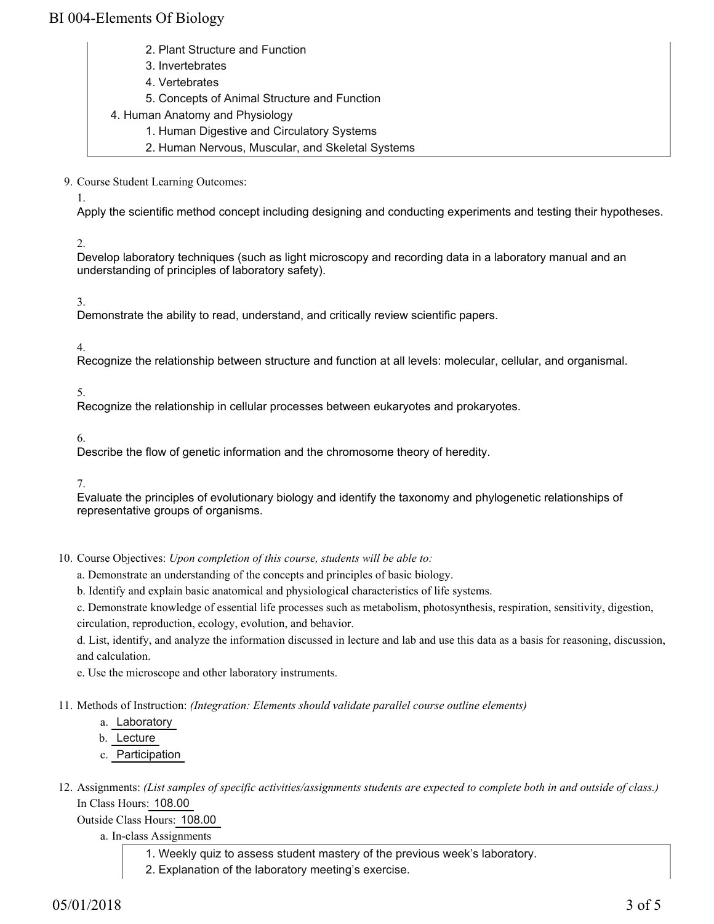- 2. Plant Structure and Function
- 3. Invertebrates
- 4. Vertebrates
- 5. Concepts of Animal Structure and Function
- 4. Human Anatomy and Physiology
	- 1. Human Digestive and Circulatory Systems
	- 2. Human Nervous, Muscular, and Skeletal Systems

9. Course Student Learning Outcomes:

1.

Apply the scientific method concept including designing and conducting experiments and testing their hypotheses.

2.

Develop laboratory techniques (such as light microscopy and recording data in a laboratory manual and an understanding of principles of laboratory safety).

3.

Demonstrate the ability to read, understand, and critically review scientific papers.

4.

Recognize the relationship between structure and function at all levels: molecular, cellular, and organismal.

5.

Recognize the relationship in cellular processes between eukaryotes and prokaryotes.

6.

Describe the flow of genetic information and the chromosome theory of heredity.

7.

Evaluate the principles of evolutionary biology and identify the taxonomy and phylogenetic relationships of representative groups of organisms.

10. Course Objectives: Upon completion of this course, students will be able to:

a. Demonstrate an understanding of the concepts and principles of basic biology.

b. Identify and explain basic anatomical and physiological characteristics of life systems.

c. Demonstrate knowledge of essential life processes such as metabolism, photosynthesis, respiration, sensitivity, digestion, circulation, reproduction, ecology, evolution, and behavior.

d. List, identify, and analyze the information discussed in lecture and lab and use this data as a basis for reasoning, discussion, and calculation.

e. Use the microscope and other laboratory instruments.

Methods of Instruction: *(Integration: Elements should validate parallel course outline elements)* 11.

a. Laboratory

b. Lecture

c. Participation

12. Assignments: (List samples of specific activities/assignments students are expected to complete both in and outside of class.) In Class Hours: 108.00

Outside Class Hours: 108.00

a. In-class Assignments

1. Weekly quiz to assess student mastery of the previous week's laboratory.

2. Explanation of the laboratory meeting's exercise.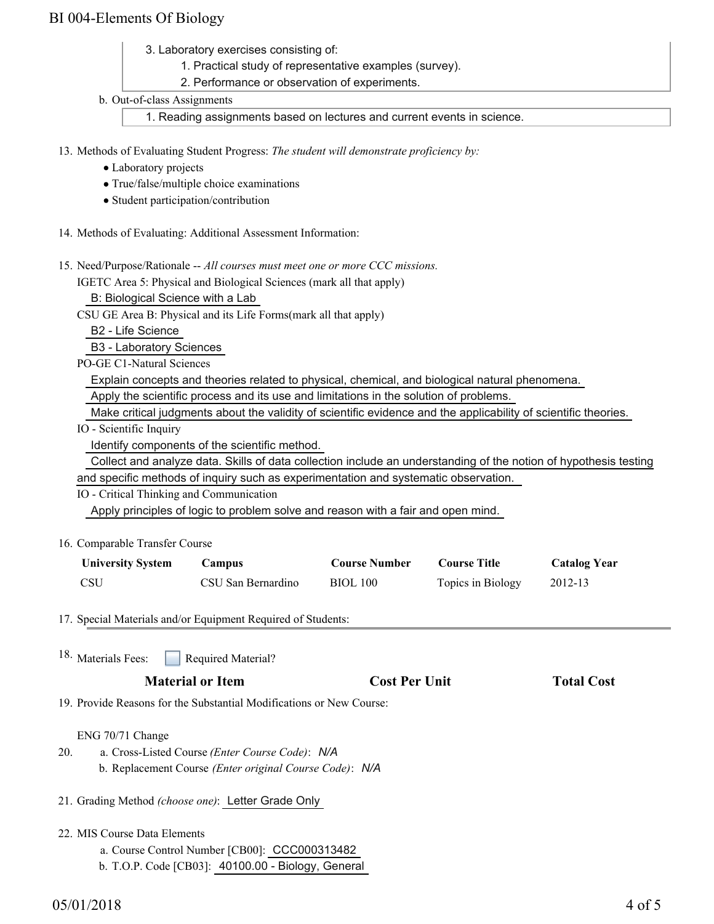- 3. Laboratory exercises consisting of:
	- 1. Practical study of representative examples (survey).
	- 2. Performance or observation of experiments.
- b. Out-of-class Assignments

1. Reading assignments based on lectures and current events in science.

13. Methods of Evaluating Student Progress: The student will demonstrate proficiency by:

- Laboratory projects
- True/false/multiple choice examinations
- Student participation/contribution
- 14. Methods of Evaluating: Additional Assessment Information:
- 15. Need/Purpose/Rationale -- All courses must meet one or more CCC missions.

IGETC Area 5: Physical and Biological Sciences (mark all that apply)

B: Biological Science with a Lab

CSU GE Area B: Physical and its Life Forms(mark all that apply)

B2 - Life Science

B3 - Laboratory Sciences

PO-GE C1-Natural Sciences

Explain concepts and theories related to physical, chemical, and biological natural phenomena.

Apply the scientific process and its use and limitations in the solution of problems.

Make critical judgments about the validity of scientific evidence and the applicability of scientific theories.

IO - Scientific Inquiry

Identify components of the scientific method.

Collect and analyze data. Skills of data collection include an understanding of the notion of hypothesis testing

and specific methods of inquiry such as experimentation and systematic observation.

IO - Critical Thinking and Communication

Apply principles of logic to problem solve and reason with a fair and open mind.

16. Comparable Transfer Course

| <b>University System</b> | Campus             | <b>Course Number</b> | <b>Course Title</b> | <b>Catalog Year</b> |
|--------------------------|--------------------|----------------------|---------------------|---------------------|
| <b>CSU</b>               | CSU San Bernardino | <b>BIOL 100</b>      | Topics in Biology   | 2012-13             |

17. Special Materials and/or Equipment Required of Students:

| <b>Required Material?</b> |
|---------------------------|
|                           |

19. Provide Reasons for the Substantial Modifications or New Course:

#### ENG 70/71 Change

- a. Cross-Listed Course *(Enter Course Code)*: *N/A* b. Replacement Course *(Enter original Course Code)*: *N/A* 20.
- 21. Grading Method *(choose one)*: Letter Grade Only
- 22. MIS Course Data Elements
	- a. Course Control Number [CB00]: CCC000313482
	- b. T.O.P. Code [CB03]: 40100.00 Biology, General